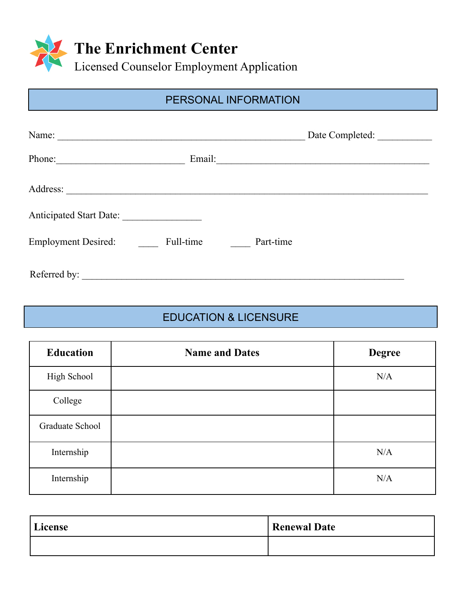

# PERSONAL INFORMATION

| Name:                                                |           | Date Completed:                                                                                                  |
|------------------------------------------------------|-----------|------------------------------------------------------------------------------------------------------------------|
| Phone:<br><u> 1989 - Andrea Station, professor a</u> | Email:    | and the control of the control of the control of the control of the control of the control of the control of the |
| Address:                                             |           |                                                                                                                  |
| Anticipated Start Date:                              |           |                                                                                                                  |
| <b>Employment Desired:</b>                           | Full-time | Part-time                                                                                                        |
| Referred by:                                         |           |                                                                                                                  |

# EDUCATION & LICENSURE

| <b>Education</b> | <b>Name and Dates</b> | <b>Degree</b> |
|------------------|-----------------------|---------------|
| High School      |                       | N/A           |
| College          |                       |               |
| Graduate School  |                       |               |
| Internship       |                       | N/A           |
| Internship       |                       | N/A           |

| License | Renewal Date |
|---------|--------------|
|         |              |